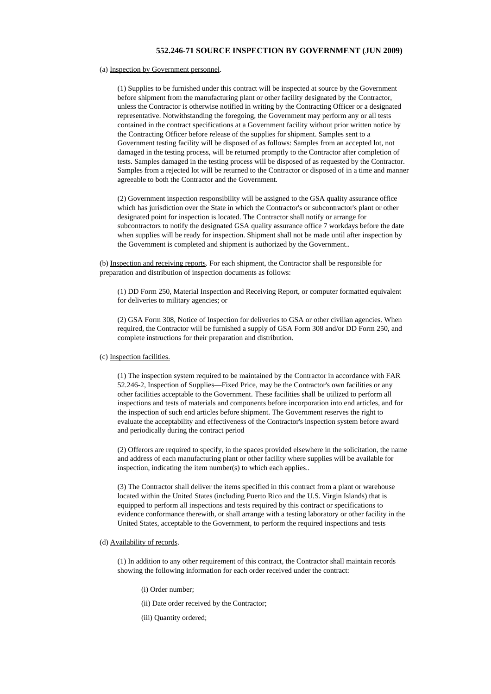## **552.246-71 SOURCE INSPECTION BY GOVERNMENT (JUN 2009)**

## (a) Inspection by Government personnel.

(1) Supplies to be furnished under this contract will be inspected at source by the Government before shipment from the manufacturing plant or other facility designated by the Contractor, unless the Contractor is otherwise notified in writing by the Contracting Officer or a designated representative. Notwithstanding the foregoing, the Government may perform any or all tests contained in the contract specifications at a Government facility without prior written notice by the Contracting Officer before release of the supplies for shipment. Samples sent to a Government testing facility will be disposed of as follows: Samples from an accepted lot, not damaged in the testing process, will be returned promptly to the Contractor after completion of tests. Samples damaged in the testing process will be disposed of as requested by the Contractor. Samples from a rejected lot will be returned to the Contractor or disposed of in a time and manner agreeable to both the Contractor and the Government.

(2) Government inspection responsibility will be assigned to the GSA quality assurance office which has jurisdiction over the State in which the Contractor's or subcontractor's plant or other designated point for inspection is located. The Contractor shall notify or arrange for subcontractors to notify the designated GSA quality assurance office 7 workdays before the date when supplies will be ready for inspection. Shipment shall not be made until after inspection by the Government is completed and shipment is authorized by the Government..

(b) Inspection and receiving reports. For each shipment, the Contractor shall be responsible for preparation and distribution of inspection documents as follows:

(1) DD Form 250, Material Inspection and Receiving Report, or computer formatted equivalent for deliveries to military agencies; or

(2) GSA Form 308, Notice of Inspection for deliveries to GSA or other civilian agencies. When required, the Contractor will be furnished a supply of GSA Form 308 and/or DD Form 250, and complete instructions for their preparation and distribution.

## (c) Inspection facilities.

(1) The inspection system required to be maintained by the Contractor in accordance with FAR 52.246-2, Inspection of Supplies—Fixed Price, may be the Contractor's own facilities or any other facilities acceptable to the Government. These facilities shall be utilized to perform all inspections and tests of materials and components before incorporation into end articles, and for the inspection of such end articles before shipment. The Government reserves the right to evaluate the acceptability and effectiveness of the Contractor's inspection system before award and periodically during the contract period

(2) Offerors are required to specify, in the spaces provided elsewhere in the solicitation, the name and address of each manufacturing plant or other facility where supplies will be available for inspection, indicating the item number(s) to which each applies..

(3) The Contractor shall deliver the items specified in this contract from a plant or warehouse located within the United States (including Puerto Rico and the U.S. Virgin Islands) that is equipped to perform all inspections and tests required by this contract or specifications to evidence conformance therewith, or shall arrange with a testing laboratory or other facility in the United States, acceptable to the Government, to perform the required inspections and tests

## (d) Availability of records.

(1) In addition to any other requirement of this contract, the Contractor shall maintain records showing the following information for each order received under the contract:

- (i) Order number;
- (ii) Date order received by the Contractor;
- (iii) Quantity ordered;